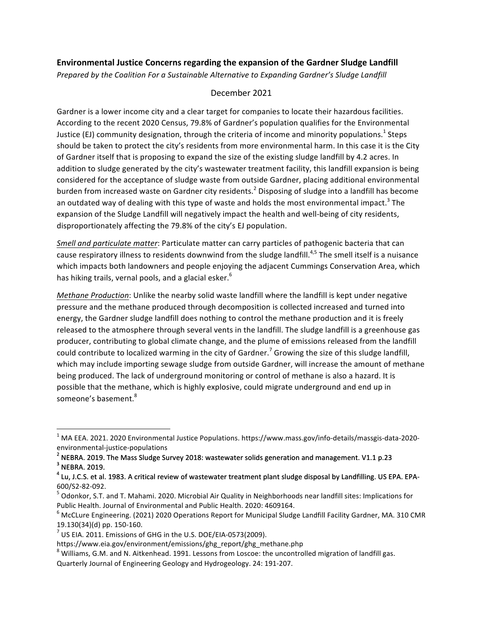## **Environmental Justice Concerns regarding the expansion of the Gardner Sludge Landfill**

*Prepared by the Coalition For a Sustainable Alternative to Expanding Gardner's Sludge Landfill* 

## December 2021

Gardner is a lower income city and a clear target for companies to locate their hazardous facilities. According to the recent 2020 Census, 79.8% of Gardner's population qualifies for the Environmental Justice (EJ) community designation, through the criteria of income and minority populations.<sup>1</sup> Steps should be taken to protect the city's residents from more environmental harm. In this case it is the City of Gardner itself that is proposing to expand the size of the existing sludge landfill by 4.2 acres. In addition to sludge generated by the city's wastewater treatment facility, this landfill expansion is being considered for the acceptance of sludge waste from outside Gardner, placing additional environmental burden from increased waste on Gardner city residents.<sup>2</sup> Disposing of sludge into a landfill has become an outdated way of dealing with this type of waste and holds the most environmental impact.<sup>3</sup> The expansion of the Sludge Landfill will negatively impact the health and well-being of city residents, disproportionately affecting the 79.8% of the city's EJ population.

*Smell and particulate matter*: Particulate matter can carry particles of pathogenic bacteria that can cause respiratory illness to residents downwind from the sludge landfill.<sup>4,5</sup> The smell itself is a nuisance which impacts both landowners and people enjoying the adjacent Cummings Conservation Area, which has hiking trails, vernal pools, and a glacial esker.<sup>6</sup>

*Methane Production*: Unlike the nearby solid waste landfill where the landfill is kept under negative pressure and the methane produced through decomposition is collected increased and turned into energy, the Gardner sludge landfill does nothing to control the methane production and it is freely released to the atmosphere through several vents in the landfill. The sludge landfill is a greenhouse gas producer, contributing to global climate change, and the plume of emissions released from the landfill could contribute to localized warming in the city of Gardner.<sup>7</sup> Growing the size of this sludge landfill, which may include importing sewage sludge from outside Gardner, will increase the amount of methane being produced. The lack of underground monitoring or control of methane is also a hazard. It is possible that the methane, which is highly explosive, could migrate underground and end up in someone's basement.<sup>8</sup>

<u> 1989 - Johann Stein, fransk politik (d. 1989)</u>

 $1$  MA EEA. 2021. 2020 Environmental Justice Populations. https://www.mass.gov/info-details/massgis-data-2020-

environmental-justice-populations<br><sup>2</sup> NEBRA. 2019. The Mass Sludge Survey 2018: wastewater solids generation and management. V1.1 p.23 3<br><sup>3</sup> NEBRA. 2019.

<sup>&</sup>lt;sup>4</sup> Lu, J.C.S. et al. 1983. A critical review of wastewater treatment plant sludge disposal by Landfilling. US EPA. EPA-600/S2-82-092.<br><sup>5</sup> Odonkor, S.T. and T. Mahami. 2020. Microbial Air Quality in Neighborhoods near landfill sites: Implications for

Public Health. Journal of Environmental and Public Health. 2020: 4609164.

 $^6$  McCLure Engineering. (2021) 2020 Operations Report for Municipal Sludge Landfill Facility Gardner, MA. 310 CMR 19.130(34)(d) pp. 150-160.<br><sup>7</sup> US EIA. 2011. Emissions of GHG in the U.S. DOE/EIA-0573(2009).

https://www.eia.gov/environment/emissions/ghg\_report/ghg\_methane.php

 $^8$  Williams, G.M. and N. Aitkenhead. 1991. Lessons from Loscoe: the uncontrolled migration of landfill gas. Quarterly Journal of Engineering Geology and Hydrogeology. 24: 191-207.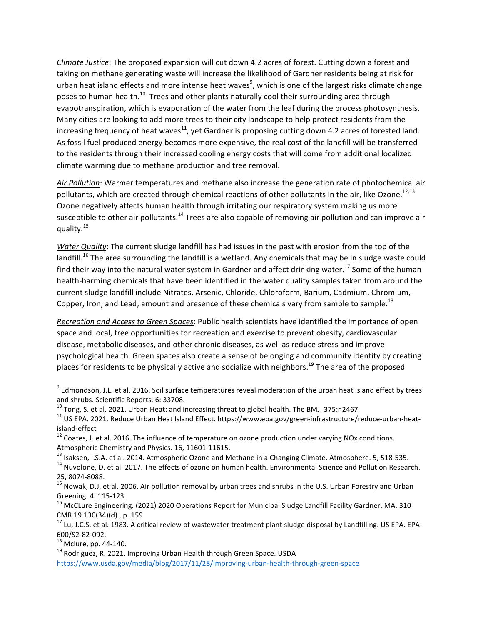*Climate Justice*: The proposed expansion will cut down 4.2 acres of forest. Cutting down a forest and taking on methane generating waste will increase the likelihood of Gardner residents being at risk for urban heat island effects and more intense heat waves<sup>9</sup>, which is one of the largest risks climate change poses to human health.<sup>10</sup> Trees and other plants naturally cool their surrounding area through evapotranspiration, which is evaporation of the water from the leaf during the process photosynthesis. Many cities are looking to add more trees to their city landscape to help protect residents from the increasing frequency of heat waves<sup>11</sup>, yet Gardner is proposing cutting down 4.2 acres of forested land. As fossil fuel produced energy becomes more expensive, the real cost of the landfill will be transferred to the residents through their increased cooling energy costs that will come from additional localized climate warming due to methane production and tree removal.

Air Pollution: Warmer temperatures and methane also increase the generation rate of photochemical air pollutants, which are created through chemical reactions of other pollutants in the air, like Ozone.<sup>12,13</sup> Ozone negatively affects human health through irritating our respiratory system making us more susceptible to other air pollutants.<sup>14</sup> Trees are also capable of removing air pollution and can improve air quality.<sup>15</sup>

*Water Quality*: The current sludge landfill has had issues in the past with erosion from the top of the landfill.<sup>16</sup> The area surrounding the landfill is a wetland. Any chemicals that may be in sludge waste could find their way into the natural water system in Gardner and affect drinking water.<sup>17</sup> Some of the human health-harming chemicals that have been identified in the water quality samples taken from around the current sludge landfill include Nitrates, Arsenic, Chloride, Chloroform, Barium, Cadmium, Chromium, Copper, Iron, and Lead; amount and presence of these chemicals vary from sample to sample.<sup>18</sup>

*Recreation and Access to Green Spaces*: Public health scientists have identified the importance of open space and local, free opportunities for recreation and exercise to prevent obesity, cardiovascular disease, metabolic diseases, and other chronic diseases, as well as reduce stress and improve psychological health. Green spaces also create a sense of belonging and community identity by creating places for residents to be physically active and socialize with neighbors.<sup>19</sup> The area of the proposed

<u> 1989 - Johann Stein, fransk politik (d. 1989)</u>

 $9$  Edmondson. J.L. et al. 2016. Soil surface temperatures reveal moderation of the urban heat island effect by trees and shrubs. Scientific Reports. 6: 33708.<br> $^{10}$  Tong, S. et al. 2021. Urban Heat: and increasing threat to global health. The BMJ. 375:n2467.

<sup>&</sup>lt;sup>11</sup> US EPA. 2021. Reduce Urban Heat Island Effect. https://www.epa.gov/green-infrastructure/reduce-urban-heatisland-effect<br><sup>12</sup> Coates, J. et al. 2016. The influence of temperature on ozone production under varying NOx conditions.

Atmospheric Chemistry and Physics. 16, 11601-11615.<br><sup>13</sup> Isaksen, I.S.A. et al. 2014. Atmospheric Ozone and Methane in a Changing Climate. Atmosphere. 5, 518-535.<br><sup>14</sup> Nuvolone, D. et al. 2017. The effects of ozone on huma

<sup>25, 8074-8088.&</sup>lt;br><sup>15</sup> Nowak, D.J. et al. 2006. Air pollution removal by urban trees and shrubs in the U.S. Urban Forestry and Urban Greening. 4: 115-123.<br><sup>16</sup> McCLure Engineering. (2021) 2020 Operations Report for Municipal Sludge Landfill Facility Gardner, MA. 310

CMR 19.130(34)(d), p. 159

 $17$  Lu, J.C.S. et al. 1983. A critical review of wastewater treatment plant sludge disposal by Landfilling. US EPA. EPA-600/S2-82-092.<br><sup>18</sup> Mclure, pp. 44-140.<br><sup>19</sup> Rodriguez, R. 2021. Improving Urban Health through Green Space. USDA

https://www.usda.gov/media/blog/2017/11/28/improving-urban-health-through-green-space